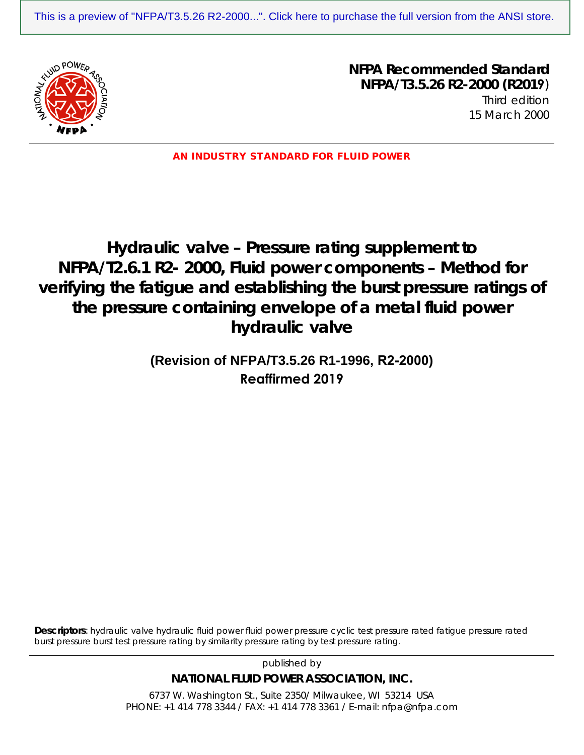[This is a preview of "NFPA/T3.5.26 R2-2000...". Click here to purchase the full version from the ANSI store.](https://webstore.ansi.org/Standards/NFPA-Fluid/NFPAT326R22000R2019?source=preview)



**NFPA Recommended Standard NFPA/T3.5.26 R2-2000 (R2019**) Third edition 15 March 2000

AN INDUSTRY STANDARD FOR FLUID POWER

# **Hydraulic valve – Pressure rating supplement to NFPA/T2.6.1 R2- 2000, Fluid power components – Method for verifying the fatigue and establishing the burst pressure ratings of the pressure containing envelope of a metal fluid power hydraulic valve**

## **(Revision of NFPA/T3.5.26 R1-1996, R2-2000) Reaffirmed 2019**

**Descriptors**: hydraulic valve hydraulic fluid power fluid power pressure cyclic test pressure rated fatigue pressure rated burst pressure burst test pressure rating by similarity pressure rating by test pressure rating.

published by

**NATIONAL FLUID POWER ASSOCIATION, INC.** 

6737 W. Washington St., Suite 2350/ Milwaukee, WI 53214 USA PHONE: +1 414 778 3344 / FAX: +1 414 778 3361 / E-mail: nfpa@nfpa.com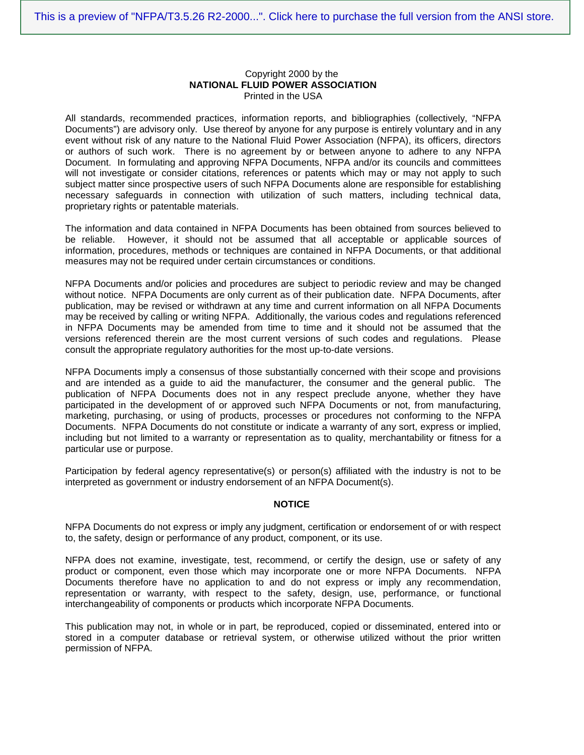#### Copyright 2000 by the **NATIONAL FLUID POWER ASSOCIATION** Printed in the USA

All standards, recommended practices, information reports, and bibliographies (collectively, "NFPA Documents") are advisory only. Use thereof by anyone for any purpose is entirely voluntary and in any event without risk of any nature to the National Fluid Power Association (NFPA), its officers, directors or authors of such work. There is no agreement by or between anyone to adhere to any NFPA Document. In formulating and approving NFPA Documents, NFPA and/or its councils and committees will not investigate or consider citations, references or patents which may or may not apply to such subject matter since prospective users of such NFPA Documents alone are responsible for establishing necessary safeguards in connection with utilization of such matters, including technical data, proprietary rights or patentable materials.

The information and data contained in NFPA Documents has been obtained from sources believed to be reliable. However, it should not be assumed that all acceptable or applicable sources of information, procedures, methods or techniques are contained in NFPA Documents, or that additional measures may not be required under certain circumstances or conditions.

NFPA Documents and/or policies and procedures are subject to periodic review and may be changed without notice. NFPA Documents are only current as of their publication date. NFPA Documents, after publication, may be revised or withdrawn at any time and current information on all NFPA Documents may be received by calling or writing NFPA. Additionally, the various codes and regulations referenced in NFPA Documents may be amended from time to time and it should not be assumed that the versions referenced therein are the most current versions of such codes and regulations. Please consult the appropriate regulatory authorities for the most up-to-date versions.

NFPA Documents imply a consensus of those substantially concerned with their scope and provisions and are intended as a guide to aid the manufacturer, the consumer and the general public. The publication of NFPA Documents does not in any respect preclude anyone, whether they have participated in the development of or approved such NFPA Documents or not, from manufacturing, marketing, purchasing, or using of products, processes or procedures not conforming to the NFPA Documents. NFPA Documents do not constitute or indicate a warranty of any sort, express or implied, including but not limited to a warranty or representation as to quality, merchantability or fitness for a particular use or purpose.

Participation by federal agency representative(s) or person(s) affiliated with the industry is not to be interpreted as government or industry endorsement of an NFPA Document(s).

#### **NOTICE**

NFPA Documents do not express or imply any judgment, certification or endorsement of or with respect to, the safety, design or performance of any product, component, or its use.

NFPA does not examine, investigate, test, recommend, or certify the design, use or safety of any product or component, even those which may incorporate one or more NFPA Documents. NFPA Documents therefore have no application to and do not express or imply any recommendation, representation or warranty, with respect to the safety, design, use, performance, or functional interchangeability of components or products which incorporate NFPA Documents.

This publication may not, in whole or in part, be reproduced, copied or disseminated, entered into or stored in a computer database or retrieval system, or otherwise utilized without the prior written permission of NFPA.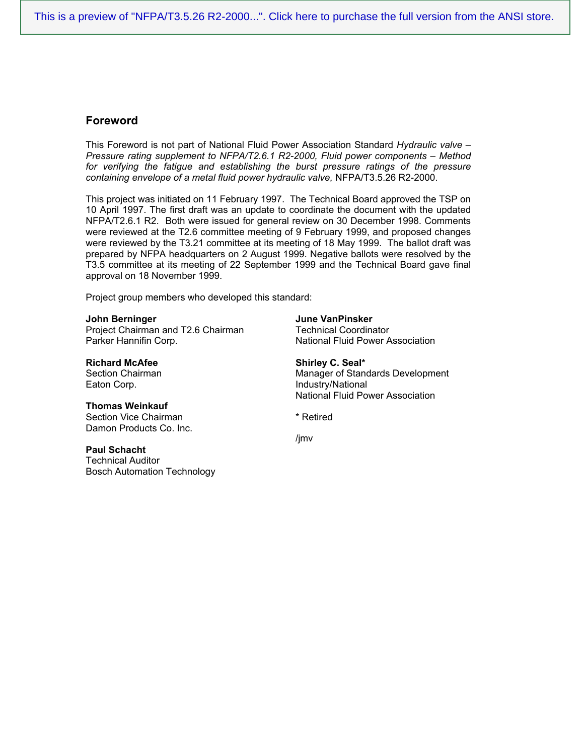## **Foreword**

This Foreword is not part of National Fluid Power Association Standard *Hydraulic valve – Pressure rating supplement to NFPA/T2.6.1 R2-2000, Fluid power components – Method*  for verifying the fatigue and establishing the burst pressure ratings of the pressure *containing envelope of a metal fluid power hydraulic valve,* NFPA/T3.5.26 R2-2000.

This project was initiated on 11 February 1997. The Technical Board approved the TSP on 10 April 1997. The first draft was an update to coordinate the document with the updated NFPA/T2.6.1 R2. Both were issued for general review on 30 December 1998. Comments were reviewed at the T2.6 committee meeting of 9 February 1999, and proposed changes were reviewed by the T3.21 committee at its meeting of 18 May 1999. The ballot draft was prepared by NFPA headquarters on 2 August 1999. Negative ballots were resolved by the T3.5 committee at its meeting of 22 September 1999 and the Technical Board gave final approval on 18 November 1999.

Project group members who developed this standard:

#### **John Berninger**

Project Chairman and T2.6 Chairman Parker Hannifin Corp.

**Richard McAfee** Section Chairman Eaton Corp.

#### **Thomas Weinkauf**

Section Vice Chairman Damon Products Co. Inc.

#### **Paul Schacht**

Technical Auditor Bosch Automation Technology **June VanPinsker** Technical Coordinator National Fluid Power Association

**Shirley C. Seal\*** Manager of Standards Development Industry/National National Fluid Power Association

\* Retired

/jmv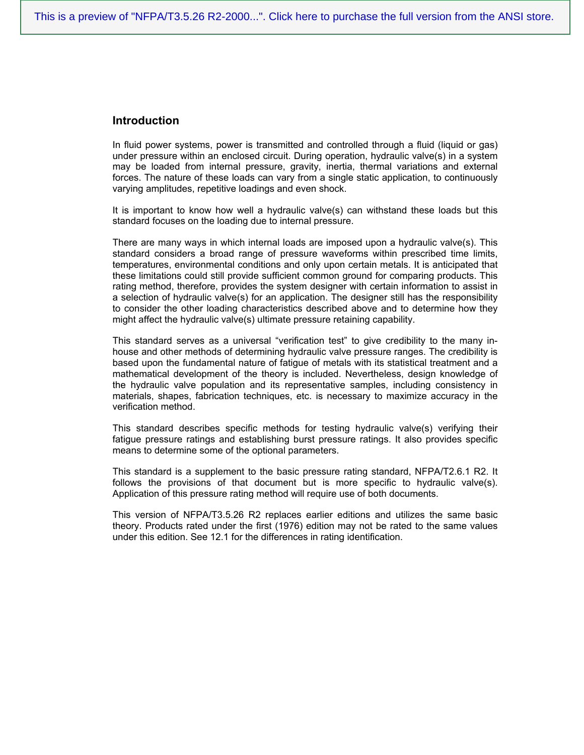### **Introduction**

In fluid power systems, power is transmitted and controlled through a fluid (liquid or gas) under pressure within an enclosed circuit. During operation, hydraulic valve(s) in a system may be loaded from internal pressure, gravity, inertia, thermal variations and external forces. The nature of these loads can vary from a single static application, to continuously varying amplitudes, repetitive loadings and even shock.

It is important to know how well a hydraulic valve(s) can withstand these loads but this standard focuses on the loading due to internal pressure.

There are many ways in which internal loads are imposed upon a hydraulic valve(s). This standard considers a broad range of pressure waveforms within prescribed time limits, temperatures, environmental conditions and only upon certain metals. It is anticipated that these limitations could still provide sufficient common ground for comparing products. This rating method, therefore, provides the system designer with certain information to assist in a selection of hydraulic valve(s) for an application. The designer still has the responsibility to consider the other loading characteristics described above and to determine how they might affect the hydraulic valve(s) ultimate pressure retaining capability.

This standard serves as a universal "verification test" to give credibility to the many inhouse and other methods of determining hydraulic valve pressure ranges. The credibility is based upon the fundamental nature of fatigue of metals with its statistical treatment and a mathematical development of the theory is included. Nevertheless, design knowledge of the hydraulic valve population and its representative samples, including consistency in materials, shapes, fabrication techniques, etc. is necessary to maximize accuracy in the verification method.

This standard describes specific methods for testing hydraulic valve(s) verifying their fatigue pressure ratings and establishing burst pressure ratings. It also provides specific means to determine some of the optional parameters.

This standard is a supplement to the basic pressure rating standard, NFPA/T2.6.1 R2. It follows the provisions of that document but is more specific to hydraulic valve(s). Application of this pressure rating method will require use of both documents.

This version of NFPA/T3.5.26 R2 replaces earlier editions and utilizes the same basic theory. Products rated under the first (1976) edition may not be rated to the same values under this edition. See 12.1 for the differences in rating identification.